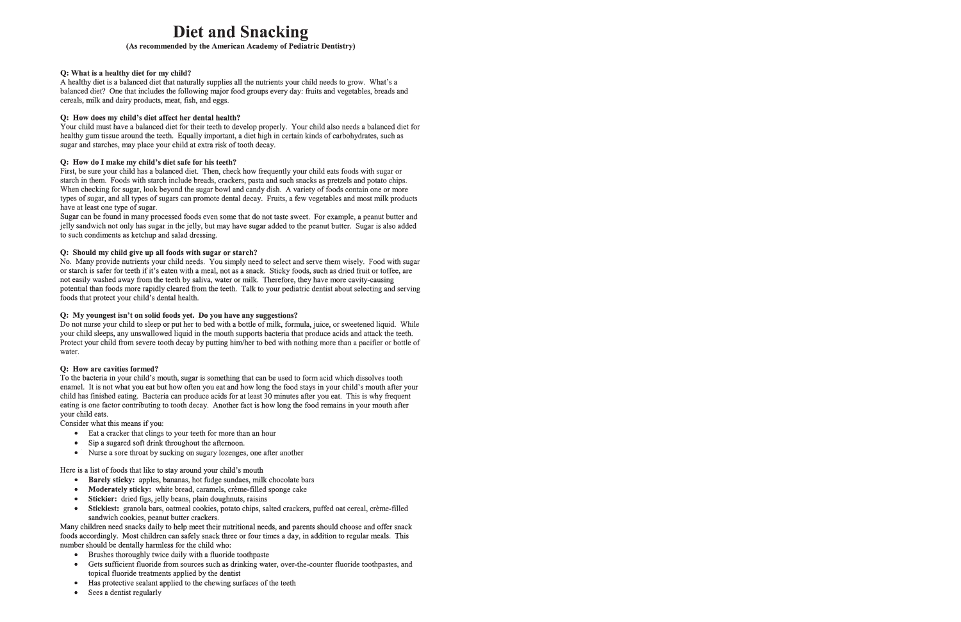# **Diet and Snacking**

#### (As recommended by the American Academy of Pediatric Dentistry)

#### Q: What is a healthy diet for my child?

A healthy diet is a balanced diet that naturally supplies all the nutrients your child needs to grow. What's a balanced diet? One that includes the following major food groups every day: fruits and vegetables, breads and cereals, milk and dairy products, meat, fish, and eggs.

#### Q: How does my child's diet affect her dental health?

Your child must have a balanced diet for their teeth to develop properly. Your child also needs a balanced diet for healthy gum tissue around the teeth. Equally important, a diet high in certain kinds of carbohydrates, such as sugar and starches, may place your child at extra risk of tooth decay.

#### O: How do I make my child's diet safe for his teeth?

First, be sure your child has a balanced diet. Then, check how frequently your child eats foods with sugar or starch in them. Foods with starch include breads, crackers, pasta and such snacks as pretzels and potato chips. When checking for sugar, look beyond the sugar bowl and candy dish. A variety of foods contain one or more types of sugar, and all types of sugars can promote dental decay. Fruits, a few vegetables and most milk products have at least one type of sugar.

Sugar can be found in many processed foods even some that do not taste sweet. For example, a peanut butter and jelly sandwich not only has sugar in the jelly, but may have sugar added to the peanut butter. Sugar is also added to such condiments as ketchup and salad dressing.

#### Q: Should my child give up all foods with sugar or starch?

No. Many provide nutrients your child needs. You simply need to select and serve them wisely. Food with sugar or starch is safer for teeth if it's eaten with a meal, not as a snack. Sticky foods, such as dried fruit or toffee, are not easily washed away from the teeth by saliva, water or milk. Therefore, they have more cavity-causing potential than foods more rapidly cleared from the teeth. Talk to your pediatric dentist about selecting and serving foods that protect your child's dental health.

#### Q: My youngest isn't on solid foods yet. Do you have any suggestions?

Do not nurse your child to sleep or put her to bed with a bottle of milk, formula, juice, or sweetened liquid. While your child sleeps, any unswallowed liquid in the mouth supports bacteria that produce acids and attack the teeth. Protect your child from severe tooth decay by putting him/her to bed with nothing more than a pacifier or bottle of water.

#### **Q:** How are cavities formed?

To the bacteria in your child's mouth, sugar is something that can be used to form acid which dissolves tooth enamel. It is not what you eat but how often you eat and how long the food stays in your child's mouth after your child has finished eating. Bacteria can produce acids for at least 30 minutes after you eat. This is why frequent eating is one factor contributing to tooth decay. Another fact is how long the food remains in your mouth after your child eats.

Consider what this means if you:

- Eat a cracker that clings to your teeth for more than an hour
- Sip a sugared soft drink throughout the afternoon.  $\bullet$
- $\bullet$ Nurse a sore throat by sucking on sugary lozenges, one after another

Here is a list of foods that like to stay around your child's mouth

- Barely sticky: apples, bananas, hot fudge sundaes, milk chocolate bars
- Moderately sticky: white bread, caramels, crème-filled sponge cake
- Stickier: dried figs, jelly beans, plain doughnuts, raisins  $\bullet$
- Stickiest: granola bars, oatmeal cookies, potato chips, salted crackers, puffed oat cereal, crème-filled sandwich cookies, peanut butter crackers.

Many children need snacks daily to help meet their nutritional needs, and parents should choose and offer snack foods accordingly. Most children can safely snack three or four times a day, in addition to regular meals. This number should be dentally harmless for the child who:

- Brushes thoroughly twice daily with a fluoride toothpaste  $\bullet$
- Gets sufficient fluoride from sources such as drinking water, over-the-counter fluoride toothpastes, and  $\bullet$ topical fluoride treatments applied by the dentist
- Has protective sealant applied to the chewing surfaces of the teeth
- Sees a dentist regularly